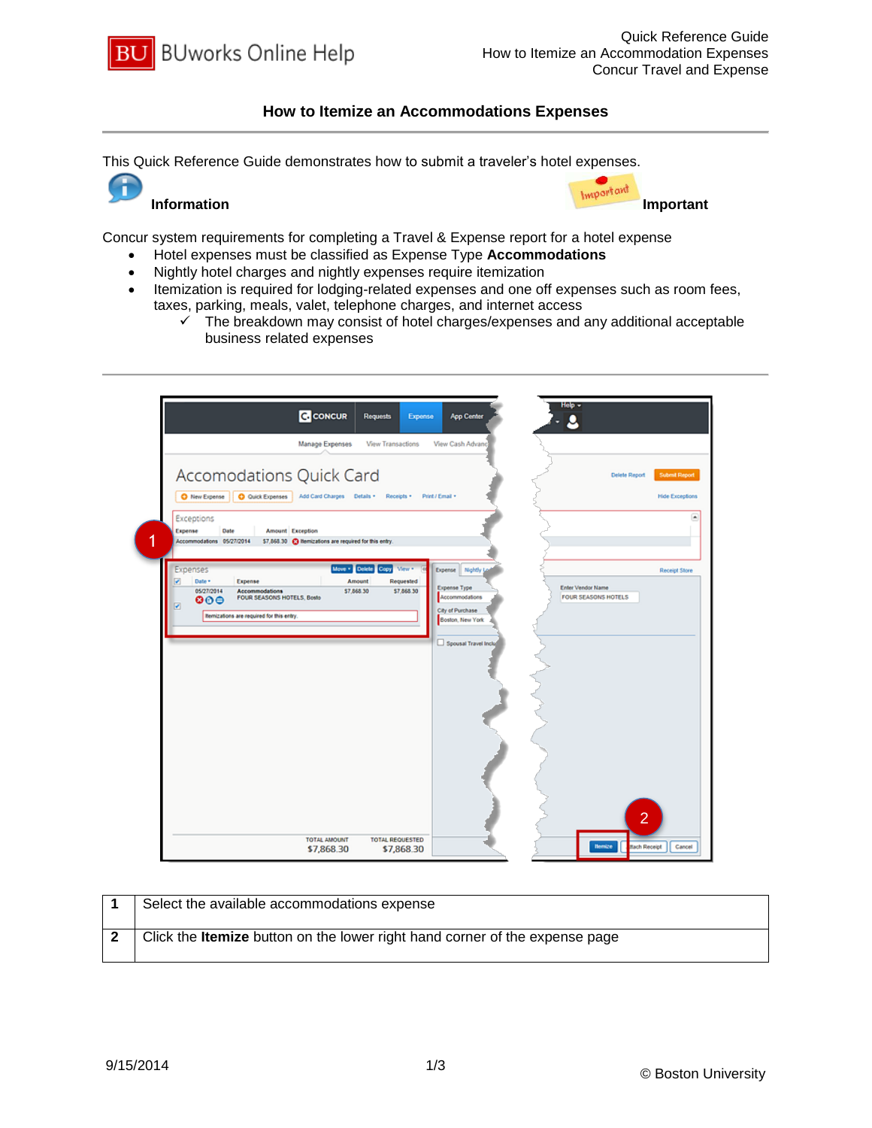

## **How to Itemize an Accommodations Expenses**

This Quick Reference Guide demonstrates how to submit a traveler's hotel expenses.





Concur system requirements for completing a Travel & Expense report for a hotel expense

- Hotel expenses must be classified as Expense Type **Accommodations**
- Nightly hotel charges and nightly expenses require itemization
- Itemization is required for lodging-related expenses and one off expenses such as room fees, taxes, parking, meals, valet, telephone charges, and internet access
	- $\checkmark$  The breakdown may consist of hotel charges/expenses and any additional acceptable business related expenses

| Manage Expenses<br>View Transactions<br>Accomodations Quick Card                                                                                                                                                                                | View Cash Advanc                                                                                                                                 | Submit Report<br><b>Delete Report</b>            |
|-------------------------------------------------------------------------------------------------------------------------------------------------------------------------------------------------------------------------------------------------|--------------------------------------------------------------------------------------------------------------------------------------------------|--------------------------------------------------|
| Q Quick Expenses Add Card Charges Details<br>Receipts *<br>O New Expense<br>Exceptions<br>Expense<br>Date<br><b>Amount</b> Exception<br>1<br>Accommodations 05/27/2014<br>\$7,868.30 @ Itemizations are required for this entry.                | Print / Email +                                                                                                                                  | <b>Hide Exceptions</b><br>$\left  \cdot \right $ |
| Move . Delete Copy View .<br>Expenses<br>⊽<br>Date *<br>Expense<br>Amount<br>Requested<br>05/27/2014<br>Accommodations<br>\$7,868.30<br>\$7,868.30<br>FOUR SEASONS HOTELS, Bosto<br>000<br>◪<br><b>Remizations are required for this entry.</b> | Expense Nightly La<br>Expense Type<br><b>Enter Vendor Name</b><br>Accommodations<br>City of Purchase<br>Boston, New York<br>Spousal Travel Inclu | Receipt Store<br><b>FOUR SEASONS HOTELS</b>      |
| <b>TOTAL REQUESTED</b><br>TOTAL AMOUNT                                                                                                                                                                                                          |                                                                                                                                                  | $\overline{2}$                                   |

| Select the available accommodations expense                                        |
|------------------------------------------------------------------------------------|
| Click the <b>Itemize</b> button on the lower right hand corner of the expense page |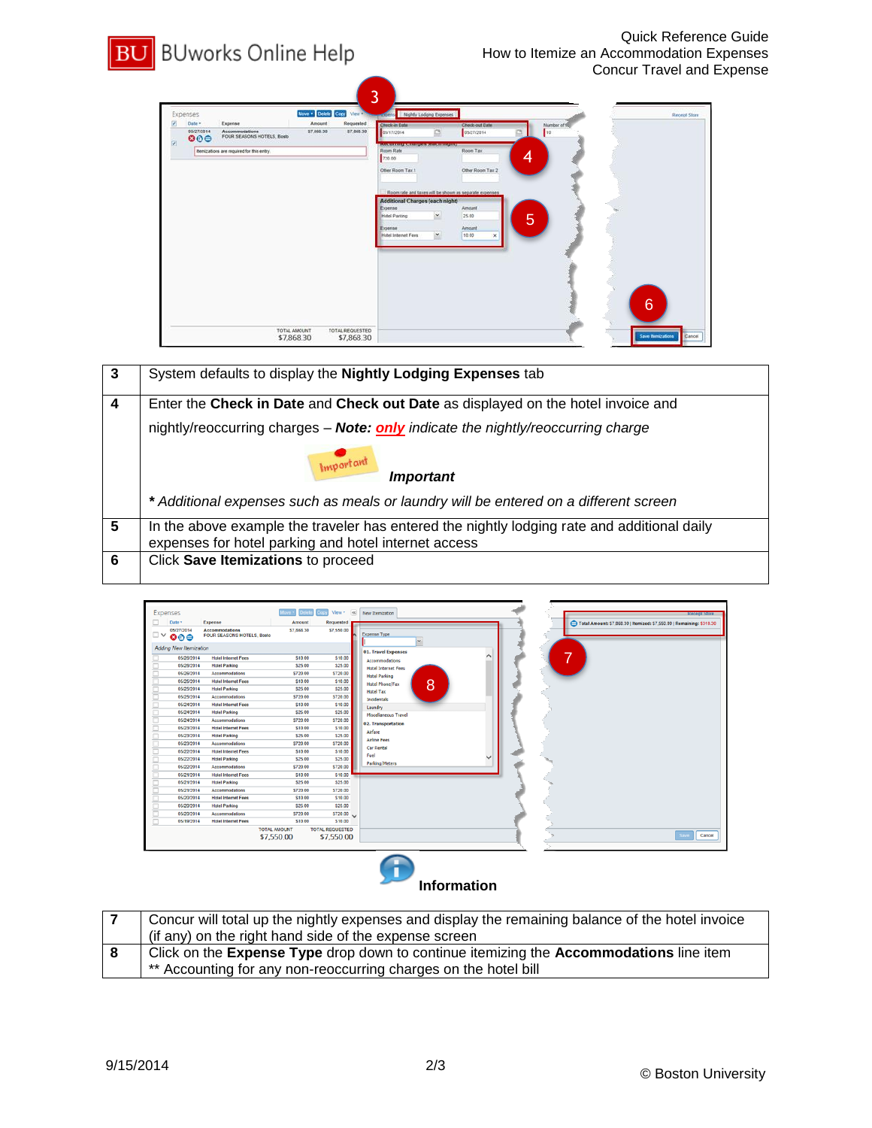## **BU** BUworks Online Help



| 3 | System defaults to display the Nightly Lodging Expenses tab                                                                                         |  |  |  |  |  |  |
|---|-----------------------------------------------------------------------------------------------------------------------------------------------------|--|--|--|--|--|--|
| 4 | Enter the Check in Date and Check out Date as displayed on the hotel invoice and                                                                    |  |  |  |  |  |  |
|   | nightly/reoccurring charges - Note: only indicate the nightly/reoccurring charge                                                                    |  |  |  |  |  |  |
|   | Important<br><b>Important</b>                                                                                                                       |  |  |  |  |  |  |
|   | * Additional expenses such as meals or laundry will be entered on a different screen                                                                |  |  |  |  |  |  |
| 5 | In the above example the traveler has entered the nightly lodging rate and additional daily<br>expenses for hotel parking and hotel internet access |  |  |  |  |  |  |
| 6 | Click Save Itemizations to proceed                                                                                                                  |  |  |  |  |  |  |



|    | Concur will total up the nightly expenses and display the remaining balance of the hotel invoice |
|----|--------------------------------------------------------------------------------------------------|
|    | (if any) on the right hand side of the expense screen                                            |
| -8 | Click on the Expense Type drop down to continue itemizing the Accommodations line item           |
|    | ** Accounting for any non-reoccurring charges on the hotel bill                                  |